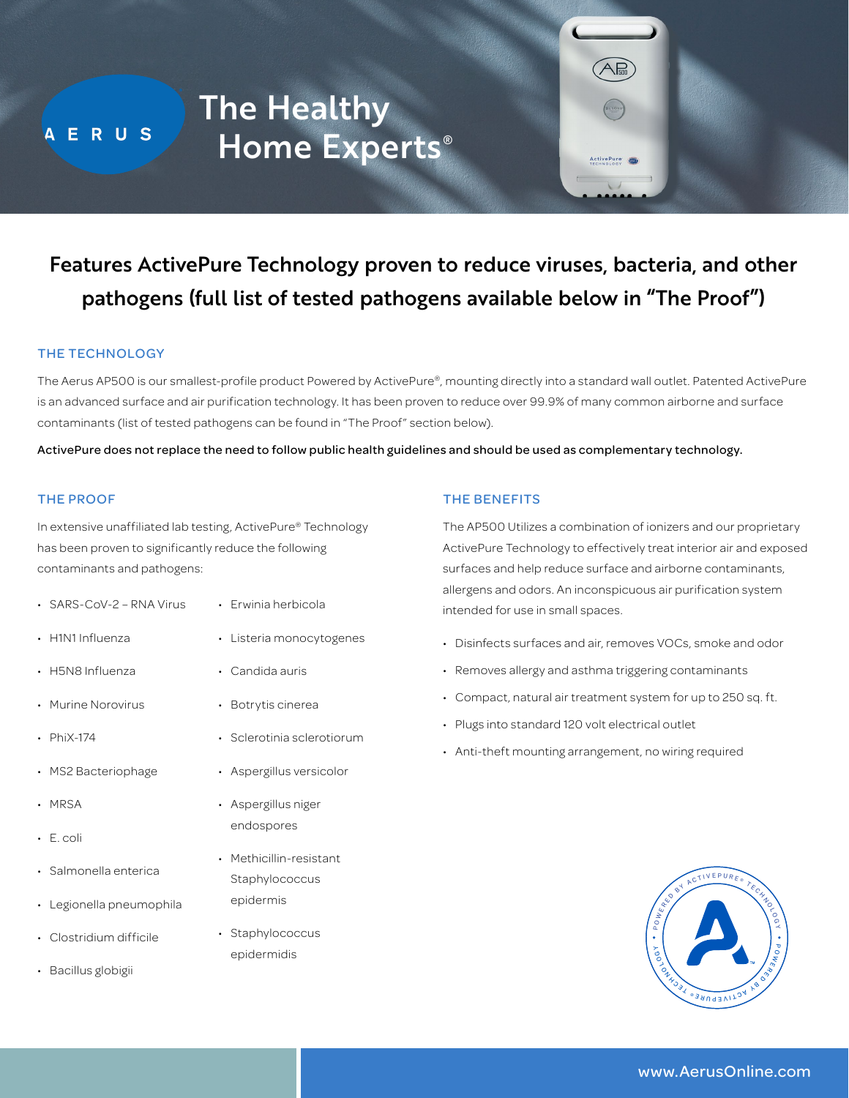A E R U S

# The Healthy Home Experts<sup>®</sup>

## Features ActivePure Technology proven to reduce viruses, bacteria, and other pathogens (full list of tested pathogens available below in "The Proof")

#### THE TECHNOLOGY

The Aerus AP500 is our smallest-profile product Powered by ActivePure®, mounting directly into a standard wall outlet. Patented ActivePure is an advanced surface and air purification technology. It has been proven to reduce over 99.9% of many common airborne and surface contaminants (list of tested pathogens can be found in "The Proof" section below).

ActivePure does not replace the need to follow public health guidelines and should be used as complementary technology.

#### THE PROOF

In extensive unaffiliated lab testing, ActivePure® Technology has been proven to significantly reduce the following contaminants and pathogens:

- SARS-CoV-2 RNA Virus
- H1N1 Influenza
- H5N8 Influenza
- Murine Norovirus
- PhiX-174
- MS2 Bacteriophage
- MRSA
- E. coli
- Salmonella enterica
- Legionella pneumophila
- Clostridium difficile
- Bacillus globigii
- Erwinia herbicola
- Listeria monocytogenes
- Candida auris
- Botrytis cinerea
- Sclerotinia sclerotiorum
- Aspergillus versicolor
- Aspergillus niger endospores
- Methicillin-resistant **Staphylococcus** epidermis
- Staphylococcus epidermidis

#### THE BENEFITS

The AP500 Utilizes a combination of ionizers and our proprietary ActivePure Technology to effectively treat interior air and exposed surfaces and help reduce surface and airborne contaminants, allergens and odors. An inconspicuous air purification system intended for use in small spaces.

ActivePure de

- Disinfects surfaces and air, removes VOCs, smoke and odor
- Removes allergy and asthma triggering contaminants
- Compact, natural air treatment system for up to 250 sq. ft.
- Plugs into standard 120 volt electrical outlet
- Anti-theft mounting arrangement, no wiring required



### www.AerusOnline.com